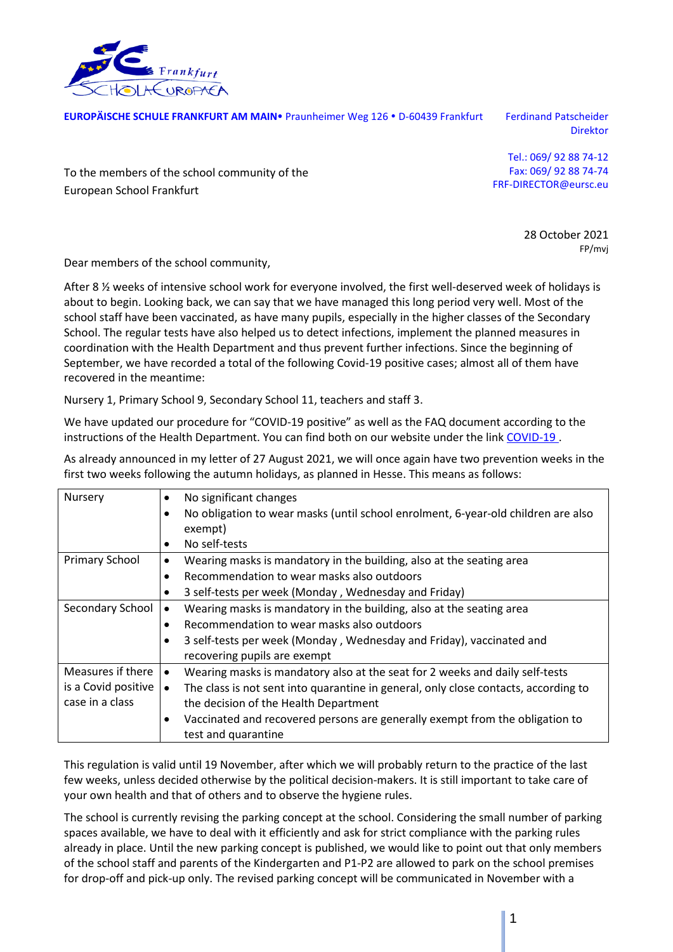

**EUROPÄISCHE SCHULE FRANKFURT AM MAIN** Praunheimer Weg 126 · D-60439 Frankfurt Ferdinand Patscheider

Direktor

To the members of the school community of the European School Frankfurt

Tel.: 069/ 92 88 74-12 Fax: 069/ 92 88 74-74 FRF-DIRECTOR@eursc.eu

> 28 October 2021 FP/mvj

Dear members of the school community,

After 8  $\frac{1}{2}$  weeks of intensive school work for everyone involved, the first well-deserved week of holidays is about to begin. Looking back, we can say that we have managed this long period very well. Most of the school staff have been vaccinated, as have many pupils, especially in the higher classes of the Secondary School. The regular tests have also helped us to detect infections, implement the planned measures in coordination with the Health Department and thus prevent further infections. Since the beginning of September, we have recorded a total of the following Covid-19 positive cases; almost all of them have recovered in the meantime:

Nursery 1, Primary School 9, Secondary School 11, teachers and staff 3.

We have updated our procedure for "COVID-19 positive" as well as the FAQ document according to the instructions of the Health Department. You can find both on our website under the link [COVID-19 .](https://www.esffm.org/covid-19)

As already announced in my letter of 27 August 2021, we will once again have two prevention weeks in the first two weeks following the autumn holidays, as planned in Hesse. This means as follows:

| Nursery             | No significant changes                                                              |
|---------------------|-------------------------------------------------------------------------------------|
|                     | No obligation to wear masks (until school enrolment, 6-year-old children are also   |
|                     | exempt)                                                                             |
|                     | No self-tests                                                                       |
| Primary School      | Wearing masks is mandatory in the building, also at the seating area<br>٠           |
|                     | Recommendation to wear masks also outdoors                                          |
|                     | 3 self-tests per week (Monday, Wednesday and Friday)                                |
| Secondary School    | Wearing masks is mandatory in the building, also at the seating area                |
|                     | Recommendation to wear masks also outdoors                                          |
|                     | 3 self-tests per week (Monday, Wednesday and Friday), vaccinated and                |
|                     | recovering pupils are exempt                                                        |
| Measures if there   | Wearing masks is mandatory also at the seat for 2 weeks and daily self-tests        |
| is a Covid positive | The class is not sent into quarantine in general, only close contacts, according to |
| case in a class     | the decision of the Health Department                                               |
|                     | Vaccinated and recovered persons are generally exempt from the obligation to<br>٠   |
|                     | test and quarantine                                                                 |

This regulation is valid until 19 November, after which we will probably return to the practice of the last few weeks, unless decided otherwise by the political decision-makers. It is still important to take care of your own health and that of others and to observe the hygiene rules.

The school is currently revising the parking concept at the school. Considering the small number of parking spaces available, we have to deal with it efficiently and ask for strict compliance with the parking rules already in place. Until the new parking concept is published, we would like to point out that only members of the school staff and parents of the Kindergarten and P1-P2 are allowed to park on the school premises for drop-off and pick-up only. The revised parking concept will be communicated in November with a